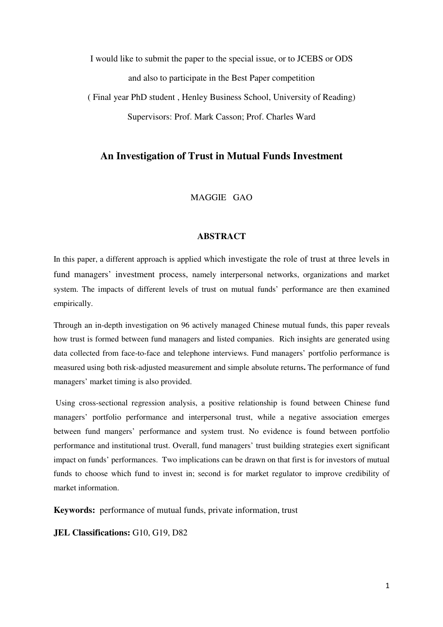I would like to submit the paper to the special issue, or to JCEBS or ODS and also to participate in the Best Paper competition

( Final year PhD student , Henley Business School, University of Reading) Supervisors: Prof. Mark Casson; Prof. Charles Ward

# **An Investigation of Trust in Mutual Funds Investment**

MAGGIE GAO

## **ABSTRACT**

In this paper, a different approach is applied which investigate the role of trust at three levels in fund managers' investment process, namely interpersonal networks, organizations and market system. The impacts of different levels of trust on mutual funds' performance are then examined empirically.

Through an in-depth investigation on 96 actively managed Chinese mutual funds, this paper reveals how trust is formed between fund managers and listed companies. Rich insights are generated using data collected from face-to-face and telephone interviews. Fund managers' portfolio performance is measured using both risk-adjusted measurement and simple absolute returns**.** The performance of fund managers' market timing is also provided.

 Using cross-sectional regression analysis, a positive relationship is found between Chinese fund managers' portfolio performance and interpersonal trust, while a negative association emerges between fund mangers' performance and system trust. No evidence is found between portfolio performance and institutional trust. Overall, fund managers' trust building strategies exert significant impact on funds' performances. Two implications can be drawn on that first is for investors of mutual funds to choose which fund to invest in; second is for market regulator to improve credibility of market information.

**Keywords:** performance of mutual funds, private information, trust

**JEL Classifications:** G10, G19, D82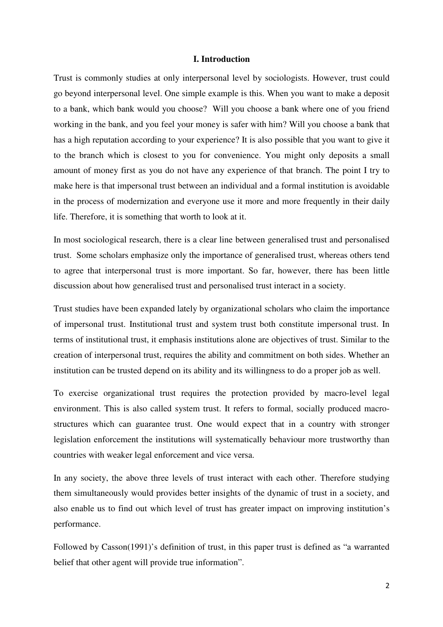## **I. Introduction**

Trust is commonly studies at only interpersonal level by sociologists. However, trust could go beyond interpersonal level. One simple example is this. When you want to make a deposit to a bank, which bank would you choose? Will you choose a bank where one of you friend working in the bank, and you feel your money is safer with him? Will you choose a bank that has a high reputation according to your experience? It is also possible that you want to give it to the branch which is closest to you for convenience. You might only deposits a small amount of money first as you do not have any experience of that branch. The point I try to make here is that impersonal trust between an individual and a formal institution is avoidable in the process of modernization and everyone use it more and more frequently in their daily life. Therefore, it is something that worth to look at it.

In most sociological research, there is a clear line between generalised trust and personalised trust. Some scholars emphasize only the importance of generalised trust, whereas others tend to agree that interpersonal trust is more important. So far, however, there has been little discussion about how generalised trust and personalised trust interact in a society.

Trust studies have been expanded lately by organizational scholars who claim the importance of impersonal trust. Institutional trust and system trust both constitute impersonal trust. In terms of institutional trust, it emphasis institutions alone are objectives of trust. Similar to the creation of interpersonal trust, requires the ability and commitment on both sides. Whether an institution can be trusted depend on its ability and its willingness to do a proper job as well.

To exercise organizational trust requires the protection provided by macro-level legal environment. This is also called system trust. It refers to formal, socially produced macrostructures which can guarantee trust. One would expect that in a country with stronger legislation enforcement the institutions will systematically behaviour more trustworthy than countries with weaker legal enforcement and vice versa.

In any society, the above three levels of trust interact with each other. Therefore studying them simultaneously would provides better insights of the dynamic of trust in a society, and also enable us to find out which level of trust has greater impact on improving institution's performance.

Followed by Casson(1991)'s definition of trust, in this paper trust is defined as "a warranted belief that other agent will provide true information".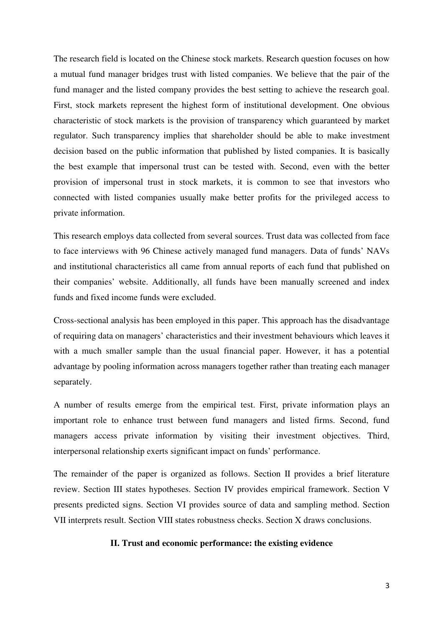The research field is located on the Chinese stock markets. Research question focuses on how a mutual fund manager bridges trust with listed companies. We believe that the pair of the fund manager and the listed company provides the best setting to achieve the research goal. First, stock markets represent the highest form of institutional development. One obvious characteristic of stock markets is the provision of transparency which guaranteed by market regulator. Such transparency implies that shareholder should be able to make investment decision based on the public information that published by listed companies. It is basically the best example that impersonal trust can be tested with. Second, even with the better provision of impersonal trust in stock markets, it is common to see that investors who connected with listed companies usually make better profits for the privileged access to private information.

This research employs data collected from several sources. Trust data was collected from face to face interviews with 96 Chinese actively managed fund managers. Data of funds' NAVs and institutional characteristics all came from annual reports of each fund that published on their companies' website. Additionally, all funds have been manually screened and index funds and fixed income funds were excluded.

Cross-sectional analysis has been employed in this paper. This approach has the disadvantage of requiring data on managers' characteristics and their investment behaviours which leaves it with a much smaller sample than the usual financial paper. However, it has a potential advantage by pooling information across managers together rather than treating each manager separately.

A number of results emerge from the empirical test. First, private information plays an important role to enhance trust between fund managers and listed firms. Second, fund managers access private information by visiting their investment objectives. Third, interpersonal relationship exerts significant impact on funds' performance.

The remainder of the paper is organized as follows. Section II provides a brief literature review. Section III states hypotheses. Section IV provides empirical framework. Section V presents predicted signs. Section VI provides source of data and sampling method. Section VII interprets result. Section VIII states robustness checks. Section X draws conclusions.

## **II. Trust and economic performance: the existing evidence**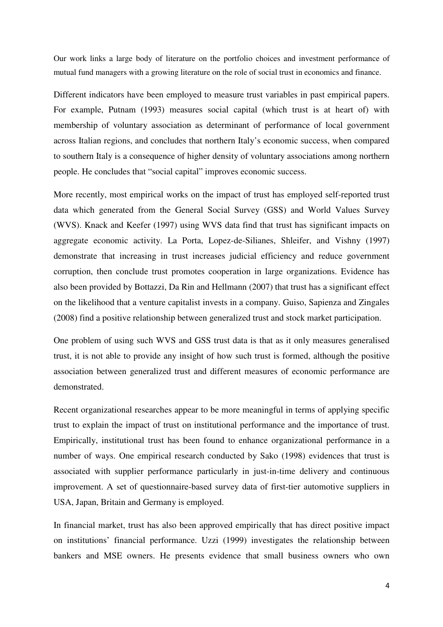Our work links a large body of literature on the portfolio choices and investment performance of mutual fund managers with a growing literature on the role of social trust in economics and finance.

Different indicators have been employed to measure trust variables in past empirical papers. For example, Putnam (1993) measures social capital (which trust is at heart of) with membership of voluntary association as determinant of performance of local government across Italian regions, and concludes that northern Italy's economic success, when compared to southern Italy is a consequence of higher density of voluntary associations among northern people. He concludes that "social capital" improves economic success.

More recently, most empirical works on the impact of trust has employed self-reported trust data which generated from the General Social Survey (GSS) and World Values Survey (WVS). Knack and Keefer (1997) using WVS data find that trust has significant impacts on aggregate economic activity. La Porta, Lopez-de-Silianes, Shleifer, and Vishny (1997) demonstrate that increasing in trust increases judicial efficiency and reduce government corruption, then conclude trust promotes cooperation in large organizations. Evidence has also been provided by Bottazzi, Da Rin and Hellmann (2007) that trust has a significant effect on the likelihood that a venture capitalist invests in a company. Guiso, Sapienza and Zingales (2008) find a positive relationship between generalized trust and stock market participation.

One problem of using such WVS and GSS trust data is that as it only measures generalised trust, it is not able to provide any insight of how such trust is formed, although the positive association between generalized trust and different measures of economic performance are demonstrated.

Recent organizational researches appear to be more meaningful in terms of applying specific trust to explain the impact of trust on institutional performance and the importance of trust. Empirically, institutional trust has been found to enhance organizational performance in a number of ways. One empirical research conducted by Sako (1998) evidences that trust is associated with supplier performance particularly in just-in-time delivery and continuous improvement. A set of questionnaire-based survey data of first-tier automotive suppliers in USA, Japan, Britain and Germany is employed.

In financial market, trust has also been approved empirically that has direct positive impact on institutions' financial performance. Uzzi (1999) investigates the relationship between bankers and MSE owners. He presents evidence that small business owners who own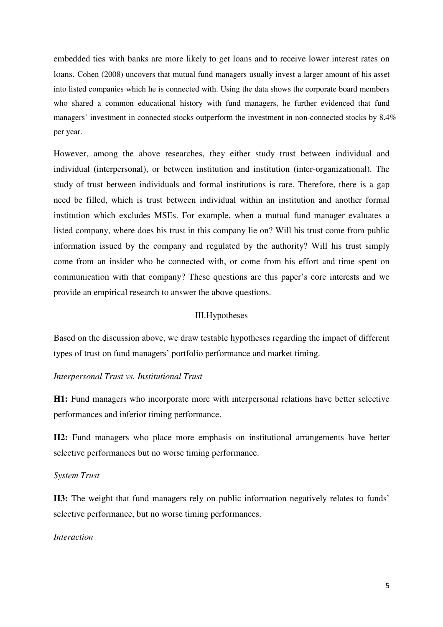embedded ties with banks are more likely to get loans and to receive lower interest rates on loans. Cohen (2008) uncovers that mutual fund managers usually invest a larger amount of his asset into listed companies which he is connected with. Using the data shows the corporate board members who shared a common educational history with fund managers, he further evidenced that fund managers' investment in connected stocks outperform the investment in non-connected stocks by 8.4% per year.

However, among the above researches, they either study trust between individual and individual (interpersonal), or between institution and institution (inter-organizational). The study of trust between individuals and formal institutions is rare. Therefore, there is a gap need be filled, which is trust between individual within an institution and another formal institution which excludes MSEs. For example, when a mutual fund manager evaluates a listed company, where does his trust in this company lie on? Will his trust come from public information issued by the company and regulated by the authority? Will his trust simply come from an insider who he connected with, or come from his effort and time spent on communication with that company? These questions are this paper's core interests and we provide an empirical research to answer the above questions.

# III.Hypotheses

Based on the discussion above, we draw testable hypotheses regarding the impact of different types of trust on fund managers' portfolio performance and market timing.

## *Interpersonal Trust vs. Institutional Trust*

**H1:** Fund managers who incorporate more with interpersonal relations have better selective performances and inferior timing performance.

**H2:** Fund managers who place more emphasis on institutional arrangements have better selective performances but no worse timing performance.

## *System Trust*

H3: The weight that fund managers rely on public information negatively relates to funds' selective performance, but no worse timing performances.

## *Interaction*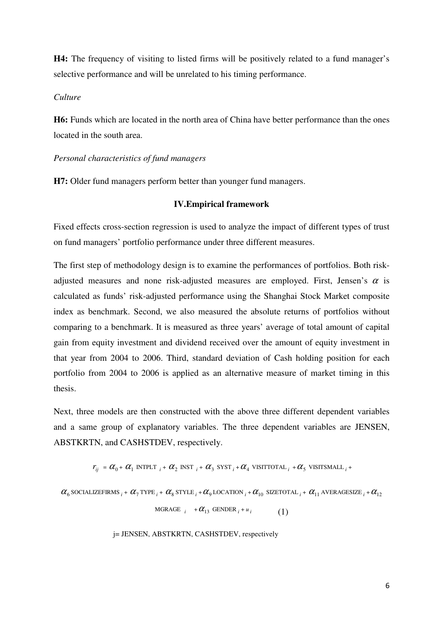**H4:** The frequency of visiting to listed firms will be positively related to a fund manager's selective performance and will be unrelated to his timing performance.

### *Culture*

**H6:** Funds which are located in the north area of China have better performance than the ones located in the south area.

*Personal characteristics of fund managers* 

**H7:** Older fund managers perform better than younger fund managers.

## **IV.Empirical framework**

Fixed effects cross-section regression is used to analyze the impact of different types of trust on fund managers' portfolio performance under three different measures.

The first step of methodology design is to examine the performances of portfolios. Both riskadjusted measures and none risk-adjusted measures are employed. First, Jensen's  $\alpha$  is calculated as funds' risk-adjusted performance using the Shanghai Stock Market composite index as benchmark. Second, we also measured the absolute returns of portfolios without comparing to a benchmark. It is measured as three years' average of total amount of capital gain from equity investment and dividend received over the amount of equity investment in that year from 2004 to 2006. Third, standard deviation of Cash holding position for each portfolio from 2004 to 2006 is applied as an alternative measure of market timing in this thesis.

Next, three models are then constructed with the above three different dependent variables and a same group of explanatory variables. The three dependent variables are JENSEN, ABSTKRTN, and CASHSTDEV, respectively.

 $r_{ij} = \alpha_0 + \alpha_1$  intplt  $_i + \alpha_2$  inst  $_i + \alpha_3$  syst  $_i + \alpha_4$  visittotal  $_i + \alpha_5$  visitsmall  $_i +$ 

 $\alpha_{6}$  socializefirms  $_i$  +  $\alpha_{7}$  type  $_i$  +  $\alpha_{8}$  style  $_i$  +  $\alpha_{9}$  location  $_i$  +  $\alpha_{10}$  sizetotal  $_i$  +  $\alpha_{11}$  averagesize  $_i$  +  $\alpha_{12}$ 

MGRAGE  $_i + \alpha_{13}$  GENDER  $_i + u_i$ (1)

j= JENSEN, ABSTKRTN, CASHSTDEV, respectively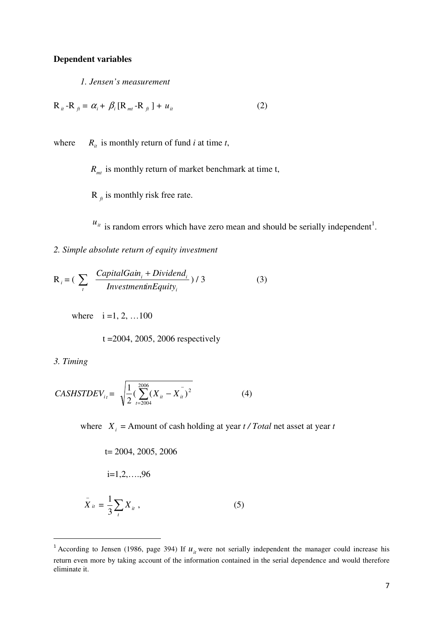## **Dependent variables**

*1. Jensen's measurement* 

$$
\mathbf{R}_{it} - \mathbf{R}_{ft} = \alpha_i + \beta_i [\mathbf{R}_{mt} - \mathbf{R}_{ft}] + u_{it}
$$
 (2)

where  $R_i$  is monthly return of fund *i* at time *t*,

 $R<sub>mt</sub>$  is monthly return of market benchmark at time t,

 $R_{\hat{f}}$  is monthly risk free rate.

 $u_{it}$  is random errors which have zero mean and should be serially independent<sup>1</sup>.

*2. Simple absolute return of equity investment* 

$$
R_i = \left(\sum_{i} \frac{CapitalGain_i + Dividend_i}{Investment in Equity_i}\right) / 3
$$
 (3)

where  $i = 1, 2, ... 100$ 

t =2004, 2005, 2006 respectively

*3. Timing* 

 $\overline{\phantom{0}}$ 

$$
CASHSTDEF_{i_t} = \sqrt{\frac{1}{2} \left( \sum_{t=2004}^{2006} (X_{it} - X_{it}^{-})^2 \right)}
$$
(4)

where  $X_i$  = Amount of cash holding at year  $t / Total$  net asset at year  $t$ 

$$
t = 2004, 2005, 2006
$$
  

$$
i = 1, 2, ..., 96
$$
  

$$
\bar{X}_{ii} = \frac{1}{3} \sum_{i} X_{ii},
$$
 (5)

<sup>&</sup>lt;sup>1</sup> According to Jensen (1986, page 394) If  $u<sub>i</sub>$  were not serially independent the manager could increase his return even more by taking account of the information contained in the serial dependence and would therefore eliminate it.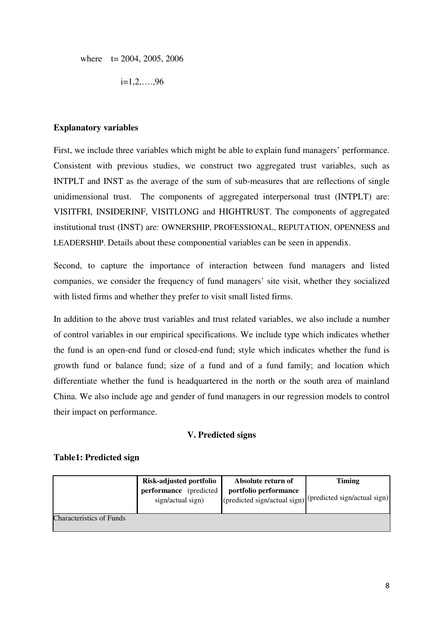where  $t = 2004, 2005, 2006$ 

 $i=1,2,....96$ 

# **Explanatory variables**

First, we include three variables which might be able to explain fund managers' performance. Consistent with previous studies, we construct two aggregated trust variables, such as INTPLT and INST as the average of the sum of sub-measures that are reflections of single unidimensional trust. The components of aggregated interpersonal trust (INTPLT) are: VISITFRI, INSIDERINF, VISITLONG and HIGHTRUST. The components of aggregated institutional trust (INST) are: OWNERSHIP, PROFESSIONAL, REPUTATION, OPENNESS and LEADERSHIP. Details about these componential variables can be seen in appendix.

Second, to capture the importance of interaction between fund managers and listed companies, we consider the frequency of fund managers' site visit, whether they socialized with listed firms and whether they prefer to visit small listed firms.

In addition to the above trust variables and trust related variables, we also include a number of control variables in our empirical specifications. We include type which indicates whether the fund is an open-end fund or closed-end fund; style which indicates whether the fund is growth fund or balance fund; size of a fund and of a fund family; and location which differentiate whether the fund is headquartered in the north or the south area of mainland China. We also include age and gender of fund managers in our regression models to control their impact on performance.

# **V. Predicted signs**

# **Table1: Predicted sign**

|                                 | Risk-adjusted portfolio                     | Absolute return of    | <b>Timing</b>                                             |
|---------------------------------|---------------------------------------------|-----------------------|-----------------------------------------------------------|
|                                 | performance (predicted<br>sign/actual sign) | portfolio performance | (predicted sign/actual sign) (predicted sign/actual sign) |
| <b>Characteristics of Funds</b> |                                             |                       |                                                           |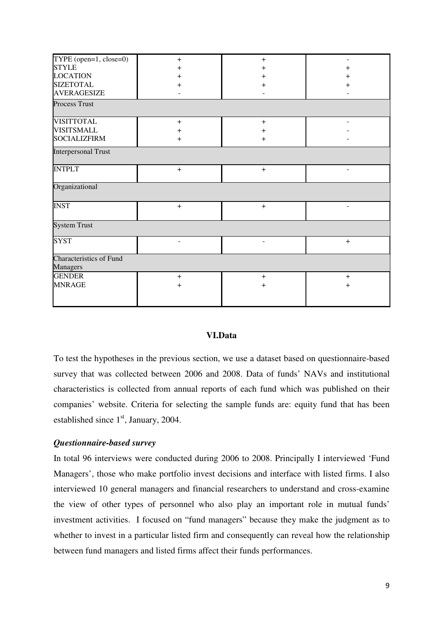| TYPE (open= $1$ , close= $0$ ) | $+$                      | $+$            |           |  |  |
|--------------------------------|--------------------------|----------------|-----------|--|--|
| <b>STYLE</b>                   | $\pm$                    | +              | $^{+}$    |  |  |
| <b>LOCATION</b>                | $\pmb{+}$                | +              | $\pm$     |  |  |
| <b>SIZETOTAL</b>               | $\pm$                    | $\mathrm{+}$   | $\pm$     |  |  |
| <b>AVERAGESIZE</b>             |                          |                |           |  |  |
| <b>Process Trust</b>           |                          |                |           |  |  |
| <b>VISITTOTAL</b>              | $\ddot{}$                | $\ddot{}$      |           |  |  |
| <b>VISITSMALL</b>              | $\pmb{+}$                | $\mathrm{+}$   |           |  |  |
| <b>SOCIALIZFIRM</b>            | $\ddot{}$                | $\ddot{}$      |           |  |  |
| <b>Interpersonal Trust</b>     |                          |                |           |  |  |
| <b>INTPLT</b>                  | $+$                      | $+$            | ٠         |  |  |
| Organizational                 |                          |                |           |  |  |
| <b>INST</b>                    | $+$                      | $+$            |           |  |  |
| System Trust                   |                          |                |           |  |  |
| <b>SYST</b>                    | $\overline{\phantom{0}}$ | $\blacksquare$ | $\ddot{}$ |  |  |
| <b>Characteristics of Fund</b> |                          |                |           |  |  |
| <b>Managers</b>                |                          |                |           |  |  |
| <b>GENDER</b>                  | $+$                      | $+$            | $+$       |  |  |
| <b>MNRAGE</b>                  | $\ddot{}$                | $+$            | $\ddot{}$ |  |  |
|                                |                          |                |           |  |  |

# **VI.Data**

To test the hypotheses in the previous section, we use a dataset based on questionnaire-based survey that was collected between 2006 and 2008. Data of funds' NAVs and institutional characteristics is collected from annual reports of each fund which was published on their companies' website. Criteria for selecting the sample funds are: equity fund that has been established since  $1<sup>st</sup>$ , January, 2004.

## *Questionnaire-based survey*

In total 96 interviews were conducted during 2006 to 2008. Principally I interviewed 'Fund Managers', those who make portfolio invest decisions and interface with listed firms. I also interviewed 10 general managers and financial researchers to understand and cross-examine the view of other types of personnel who also play an important role in mutual funds' investment activities. I focused on "fund managers" because they make the judgment as to whether to invest in a particular listed firm and consequently can reveal how the relationship between fund managers and listed firms affect their funds performances.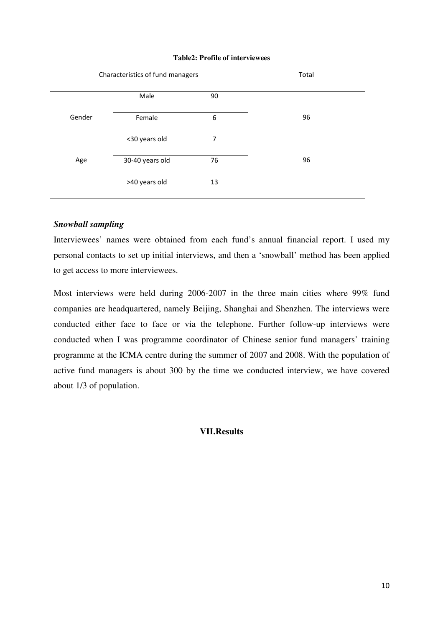|  |  |  | <b>Table2: Profile of interviewees</b> |
|--|--|--|----------------------------------------|
|--|--|--|----------------------------------------|

|        | Characteristics of fund managers |    | Total |  |
|--------|----------------------------------|----|-------|--|
|        | Male                             | 90 |       |  |
| Gender | Female                           | 6  | 96    |  |
|        | <30 years old                    | 7  |       |  |
| Age    | 30-40 years old                  | 76 | 96    |  |
|        | >40 years old                    | 13 |       |  |

# *Snowball sampling*

Interviewees' names were obtained from each fund's annual financial report. I used my personal contacts to set up initial interviews, and then a 'snowball' method has been applied to get access to more interviewees.

Most interviews were held during 2006-2007 in the three main cities where 99% fund companies are headquartered, namely Beijing, Shanghai and Shenzhen. The interviews were conducted either face to face or via the telephone. Further follow-up interviews were conducted when I was programme coordinator of Chinese senior fund managers' training programme at the ICMA centre during the summer of 2007 and 2008. With the population of active fund managers is about 300 by the time we conducted interview, we have covered about 1/3 of population.

## **VII.Results**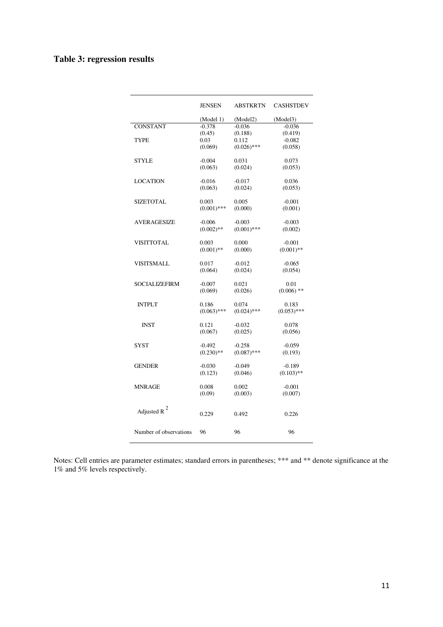# **Table 3: regression results**

|                        | <b>JENSEN</b> | <b>ABSTKRTN</b> | <b>CASHSTDEV</b> |
|------------------------|---------------|-----------------|------------------|
|                        | (Model 1)     | (Model2)        | (Model3)         |
| <b>CONSTANT</b>        | $-0.378$      | $-0.036$        | $-0.036$         |
|                        | (0.45)        | (0.188)         | (0.419)          |
| <b>TYPE</b>            | 0.03          | 0.112           | $-0.082$         |
|                        | (0.069)       | $(0.026)$ ***   | (0.058)          |
| <b>STYLE</b>           | $-0.004$      | 0.031           | 0.073            |
|                        | (0.063)       | (0.024)         | (0.053)          |
| <b>LOCATION</b>        | $-0.016$      | $-0.017$        | 0.036            |
|                        | (0.063)       | (0.024)         | (0.053)          |
| SIZETOTAL              | 0.003         | 0.005           | $-0.001$         |
|                        | $(0.001)$ *** | (0.000)         | (0.001)          |
| <b>AVERAGESIZE</b>     | $-0.006$      | $-0.003$        | $-0.003$         |
|                        | $(0.002)$ **  | $(0.001)$ ***   | (0.002)          |
| <b>VISITTOTAL</b>      | 0.003         | 0.000           | $-0.001$         |
|                        | $(0.001)$ **  | (0.000)         | $(0.001)$ **     |
| VISITSMALL             | 0.017         | $-0.012$        | $-0.065$         |
|                        | (0.064)       | (0.024)         | (0.054)          |
| <b>SOCIALIZEFIRM</b>   | $-0.007$      | 0.021           | 0.01             |
|                        | (0.069)       | (0.026)         | $(0.006)$ **     |
| <b>INTPLT</b>          | 0.186         | 0.074           | 0.183            |
|                        | $(0.063)$ *** | $(0.024)$ ***   | $(0.053)$ ***    |
| <b>INST</b>            | 0.121         | $-0.032$        | 0.078            |
|                        | (0.067)       | (0.025)         | (0.056)          |
| <b>SYST</b>            | $-0.492$      | $-0.258$        | $-0.059$         |
|                        | $(0.230)$ **  | $(0.087)$ ***   | (0.193)          |
| <b>GENDER</b>          | $-0.030$      | $-0.049$        | $-0.189$         |
|                        | (0.123)       | (0.046)         | $(0.103)$ **     |
| MNRAGE                 | 0.008         | 0.002           | $-0.001$         |
|                        | (0.09)        | (0.003)         | (0.007)          |
|                        |               |                 |                  |
| Adjusted R $^{2}$      | 0.229         | 0.492           | 0.226            |
| Number of observations | 96            | 96              | 96               |
|                        |               |                 |                  |

Notes: Cell entries are parameter estimates; standard errors in parentheses; \*\*\* and \*\* denote significance at the 1% and 5% levels respectively.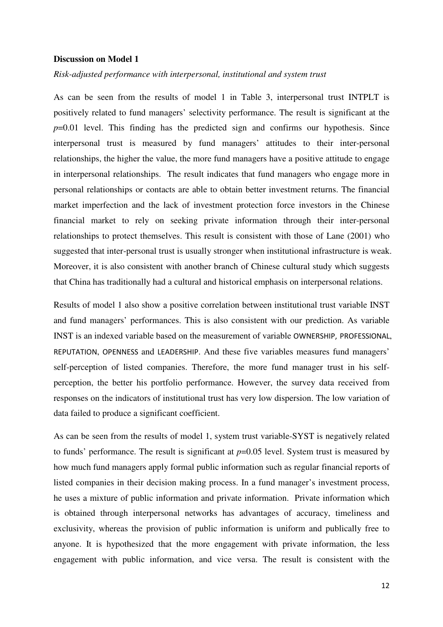### **Discussion on Model 1**

*Risk-adjusted performance with interpersonal, institutional and system trust* 

As can be seen from the results of model 1 in Table 3, interpersonal trust INTPLT is positively related to fund managers' selectivity performance. The result is significant at the *p*=0.01 level. This finding has the predicted sign and confirms our hypothesis. Since interpersonal trust is measured by fund managers' attitudes to their inter-personal relationships, the higher the value, the more fund managers have a positive attitude to engage in interpersonal relationships. The result indicates that fund managers who engage more in personal relationships or contacts are able to obtain better investment returns. The financial market imperfection and the lack of investment protection force investors in the Chinese financial market to rely on seeking private information through their inter-personal relationships to protect themselves. This result is consistent with those of Lane (2001) who suggested that inter-personal trust is usually stronger when institutional infrastructure is weak. Moreover, it is also consistent with another branch of Chinese cultural study which suggests that China has traditionally had a cultural and historical emphasis on interpersonal relations.

Results of model 1 also show a positive correlation between institutional trust variable INST and fund managers' performances. This is also consistent with our prediction. As variable INST is an indexed variable based on the measurement of variable OWNERSHIP, PROFESSIONAL, REPUTATION, OPENNESS and LEADERSHIP. And these five variables measures fund managers' self-perception of listed companies. Therefore, the more fund manager trust in his selfperception, the better his portfolio performance. However, the survey data received from responses on the indicators of institutional trust has very low dispersion. The low variation of data failed to produce a significant coefficient.

As can be seen from the results of model 1, system trust variable-SYST is negatively related to funds' performance. The result is significant at *p*=0.05 level. System trust is measured by how much fund managers apply formal public information such as regular financial reports of listed companies in their decision making process. In a fund manager's investment process, he uses a mixture of public information and private information. Private information which is obtained through interpersonal networks has advantages of accuracy, timeliness and exclusivity, whereas the provision of public information is uniform and publically free to anyone. It is hypothesized that the more engagement with private information, the less engagement with public information, and vice versa. The result is consistent with the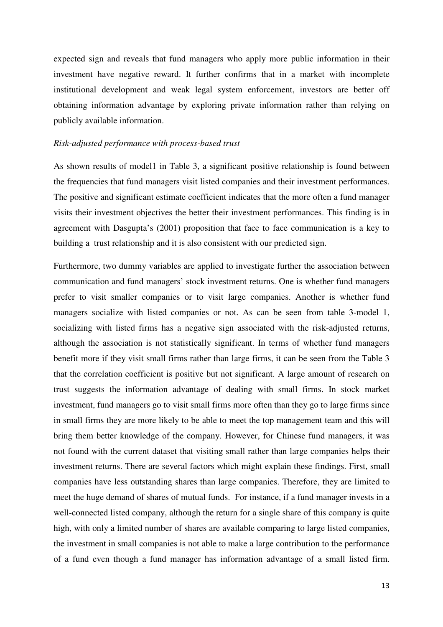expected sign and reveals that fund managers who apply more public information in their investment have negative reward. It further confirms that in a market with incomplete institutional development and weak legal system enforcement, investors are better off obtaining information advantage by exploring private information rather than relying on publicly available information.

#### *Risk-adjusted performance with process-based trust*

As shown results of model1 in Table 3, a significant positive relationship is found between the frequencies that fund managers visit listed companies and their investment performances. The positive and significant estimate coefficient indicates that the more often a fund manager visits their investment objectives the better their investment performances. This finding is in agreement with Dasgupta's (2001) proposition that face to face communication is a key to building a trust relationship and it is also consistent with our predicted sign.

Furthermore, two dummy variables are applied to investigate further the association between communication and fund managers' stock investment returns. One is whether fund managers prefer to visit smaller companies or to visit large companies. Another is whether fund managers socialize with listed companies or not. As can be seen from table 3-model 1, socializing with listed firms has a negative sign associated with the risk-adjusted returns, although the association is not statistically significant. In terms of whether fund managers benefit more if they visit small firms rather than large firms, it can be seen from the Table 3 that the correlation coefficient is positive but not significant. A large amount of research on trust suggests the information advantage of dealing with small firms. In stock market investment, fund managers go to visit small firms more often than they go to large firms since in small firms they are more likely to be able to meet the top management team and this will bring them better knowledge of the company. However, for Chinese fund managers, it was not found with the current dataset that visiting small rather than large companies helps their investment returns. There are several factors which might explain these findings. First, small companies have less outstanding shares than large companies. Therefore, they are limited to meet the huge demand of shares of mutual funds. For instance, if a fund manager invests in a well-connected listed company, although the return for a single share of this company is quite high, with only a limited number of shares are available comparing to large listed companies, the investment in small companies is not able to make a large contribution to the performance of a fund even though a fund manager has information advantage of a small listed firm.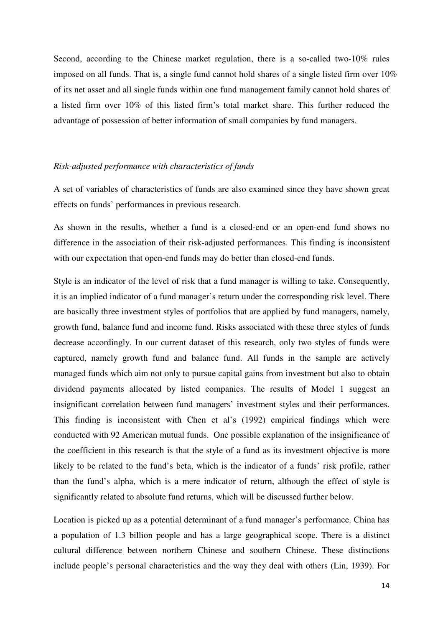Second, according to the Chinese market regulation, there is a so-called two-10% rules imposed on all funds. That is, a single fund cannot hold shares of a single listed firm over 10% of its net asset and all single funds within one fund management family cannot hold shares of a listed firm over 10% of this listed firm's total market share. This further reduced the advantage of possession of better information of small companies by fund managers.

## *Risk-adjusted performance with characteristics of funds*

A set of variables of characteristics of funds are also examined since they have shown great effects on funds' performances in previous research.

As shown in the results, whether a fund is a closed-end or an open-end fund shows no difference in the association of their risk-adjusted performances. This finding is inconsistent with our expectation that open-end funds may do better than closed-end funds.

Style is an indicator of the level of risk that a fund manager is willing to take. Consequently, it is an implied indicator of a fund manager's return under the corresponding risk level. There are basically three investment styles of portfolios that are applied by fund managers, namely, growth fund, balance fund and income fund. Risks associated with these three styles of funds decrease accordingly. In our current dataset of this research, only two styles of funds were captured, namely growth fund and balance fund. All funds in the sample are actively managed funds which aim not only to pursue capital gains from investment but also to obtain dividend payments allocated by listed companies. The results of Model 1 suggest an insignificant correlation between fund managers' investment styles and their performances. This finding is inconsistent with Chen et al's (1992) empirical findings which were conducted with 92 American mutual funds. One possible explanation of the insignificance of the coefficient in this research is that the style of a fund as its investment objective is more likely to be related to the fund's beta, which is the indicator of a funds' risk profile, rather than the fund's alpha, which is a mere indicator of return, although the effect of style is significantly related to absolute fund returns, which will be discussed further below.

Location is picked up as a potential determinant of a fund manager's performance. China has a population of 1.3 billion people and has a large geographical scope. There is a distinct cultural difference between northern Chinese and southern Chinese. These distinctions include people's personal characteristics and the way they deal with others (Lin, 1939). For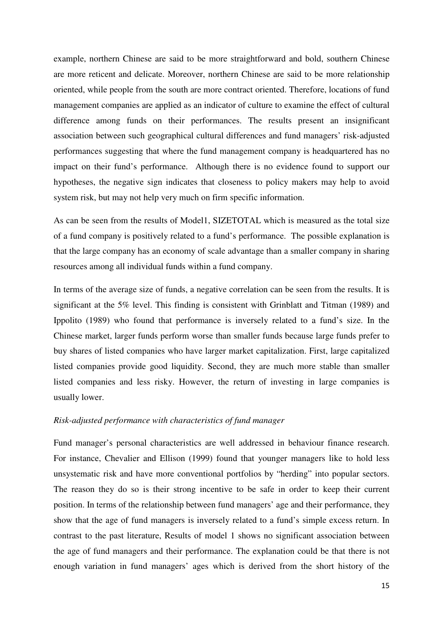example, northern Chinese are said to be more straightforward and bold, southern Chinese are more reticent and delicate. Moreover, northern Chinese are said to be more relationship oriented, while people from the south are more contract oriented. Therefore, locations of fund management companies are applied as an indicator of culture to examine the effect of cultural difference among funds on their performances. The results present an insignificant association between such geographical cultural differences and fund managers' risk-adjusted performances suggesting that where the fund management company is headquartered has no impact on their fund's performance. Although there is no evidence found to support our hypotheses, the negative sign indicates that closeness to policy makers may help to avoid system risk, but may not help very much on firm specific information.

As can be seen from the results of Model1, SIZETOTAL which is measured as the total size of a fund company is positively related to a fund's performance. The possible explanation is that the large company has an economy of scale advantage than a smaller company in sharing resources among all individual funds within a fund company.

In terms of the average size of funds, a negative correlation can be seen from the results. It is significant at the 5% level. This finding is consistent with Grinblatt and Titman (1989) and Ippolito (1989) who found that performance is inversely related to a fund's size. In the Chinese market, larger funds perform worse than smaller funds because large funds prefer to buy shares of listed companies who have larger market capitalization. First, large capitalized listed companies provide good liquidity. Second, they are much more stable than smaller listed companies and less risky. However, the return of investing in large companies is usually lower.

## *Risk-adjusted performance with characteristics of fund manager*

Fund manager's personal characteristics are well addressed in behaviour finance research. For instance, Chevalier and Ellison (1999) found that younger managers like to hold less unsystematic risk and have more conventional portfolios by "herding" into popular sectors. The reason they do so is their strong incentive to be safe in order to keep their current position. In terms of the relationship between fund managers' age and their performance, they show that the age of fund managers is inversely related to a fund's simple excess return. In contrast to the past literature, Results of model 1 shows no significant association between the age of fund managers and their performance. The explanation could be that there is not enough variation in fund managers' ages which is derived from the short history of the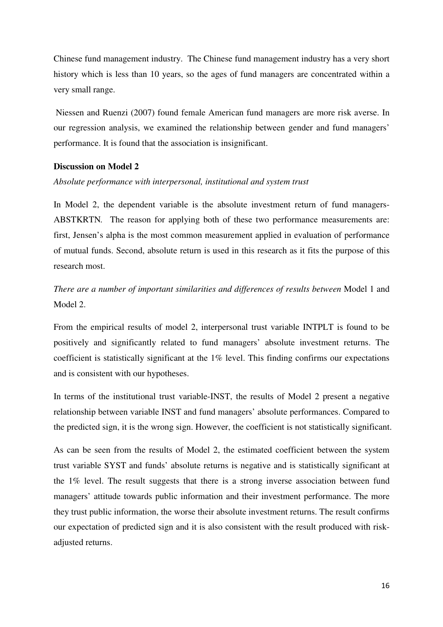Chinese fund management industry. The Chinese fund management industry has a very short history which is less than 10 years, so the ages of fund managers are concentrated within a very small range.

 Niessen and Ruenzi (2007) found female American fund managers are more risk averse. In our regression analysis, we examined the relationship between gender and fund managers' performance. It is found that the association is insignificant.

# **Discussion on Model 2**

#### *Absolute performance with interpersonal, institutional and system trust*

In Model 2, the dependent variable is the absolute investment return of fund managers-ABSTKRTN*.* The reason for applying both of these two performance measurements are: first, Jensen's alpha is the most common measurement applied in evaluation of performance of mutual funds. Second, absolute return is used in this research as it fits the purpose of this research most.

*There are a number of important similarities and differences of results between* Model 1 and Model 2.

From the empirical results of model 2, interpersonal trust variable INTPLT is found to be positively and significantly related to fund managers' absolute investment returns. The coefficient is statistically significant at the 1% level. This finding confirms our expectations and is consistent with our hypotheses.

In terms of the institutional trust variable-INST, the results of Model 2 present a negative relationship between variable INST and fund managers' absolute performances. Compared to the predicted sign, it is the wrong sign. However, the coefficient is not statistically significant.

As can be seen from the results of Model 2, the estimated coefficient between the system trust variable SYST and funds' absolute returns is negative and is statistically significant at the 1% level. The result suggests that there is a strong inverse association between fund managers' attitude towards public information and their investment performance. The more they trust public information, the worse their absolute investment returns. The result confirms our expectation of predicted sign and it is also consistent with the result produced with riskadjusted returns.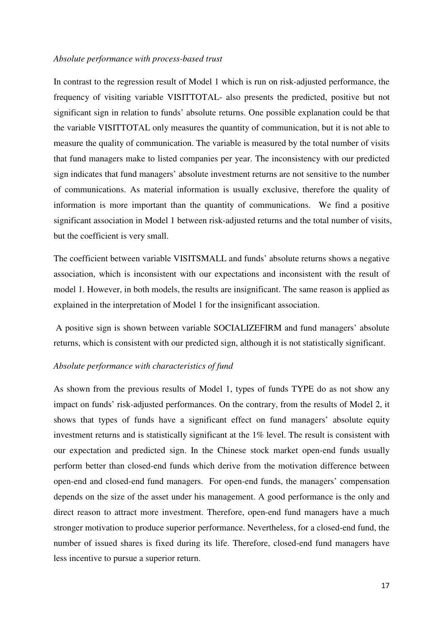## *Absolute performance with process-based trust*

In contrast to the regression result of Model 1 which is run on risk-adjusted performance, the frequency of visiting variable VISITTOTAL- also presents the predicted, positive but not significant sign in relation to funds' absolute returns. One possible explanation could be that the variable VISITTOTAL only measures the quantity of communication, but it is not able to measure the quality of communication. The variable is measured by the total number of visits that fund managers make to listed companies per year. The inconsistency with our predicted sign indicates that fund managers' absolute investment returns are not sensitive to the number of communications. As material information is usually exclusive, therefore the quality of information is more important than the quantity of communications. We find a positive significant association in Model 1 between risk-adjusted returns and the total number of visits, but the coefficient is very small.

The coefficient between variable VISITSMALL and funds' absolute returns shows a negative association, which is inconsistent with our expectations and inconsistent with the result of model 1. However, in both models, the results are insignificant. The same reason is applied as explained in the interpretation of Model 1 for the insignificant association.

 A positive sign is shown between variable SOCIALIZEFIRM and fund managers' absolute returns, which is consistent with our predicted sign, although it is not statistically significant.

## *Absolute performance with characteristics of fund*

As shown from the previous results of Model 1, types of funds TYPE do as not show any impact on funds' risk-adjusted performances. On the contrary, from the results of Model 2, it shows that types of funds have a significant effect on fund managers' absolute equity investment returns and is statistically significant at the 1% level. The result is consistent with our expectation and predicted sign. In the Chinese stock market open-end funds usually perform better than closed-end funds which derive from the motivation difference between open-end and closed-end fund managers. For open-end funds, the managers' compensation depends on the size of the asset under his management. A good performance is the only and direct reason to attract more investment. Therefore, open-end fund managers have a much stronger motivation to produce superior performance. Nevertheless, for a closed-end fund, the number of issued shares is fixed during its life. Therefore, closed-end fund managers have less incentive to pursue a superior return.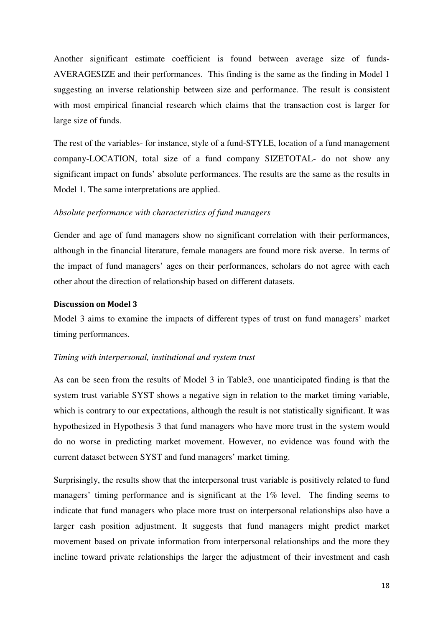Another significant estimate coefficient is found between average size of funds-AVERAGESIZE and their performances. This finding is the same as the finding in Model 1 suggesting an inverse relationship between size and performance. The result is consistent with most empirical financial research which claims that the transaction cost is larger for large size of funds.

The rest of the variables- for instance, style of a fund-STYLE, location of a fund management company-LOCATION, total size of a fund company SIZETOTAL- do not show any significant impact on funds' absolute performances. The results are the same as the results in Model 1. The same interpretations are applied.

#### *Absolute performance with characteristics of fund managers*

Gender and age of fund managers show no significant correlation with their performances, although in the financial literature, female managers are found more risk averse. In terms of the impact of fund managers' ages on their performances, scholars do not agree with each other about the direction of relationship based on different datasets.

#### Discussion on Model 3

Model 3 aims to examine the impacts of different types of trust on fund managers' market timing performances.

#### *Timing with interpersonal, institutional and system trust*

As can be seen from the results of Model 3 in Table3, one unanticipated finding is that the system trust variable SYST shows a negative sign in relation to the market timing variable, which is contrary to our expectations, although the result is not statistically significant. It was hypothesized in Hypothesis 3 that fund managers who have more trust in the system would do no worse in predicting market movement. However, no evidence was found with the current dataset between SYST and fund managers' market timing.

Surprisingly, the results show that the interpersonal trust variable is positively related to fund managers' timing performance and is significant at the 1% level. The finding seems to indicate that fund managers who place more trust on interpersonal relationships also have a larger cash position adjustment. It suggests that fund managers might predict market movement based on private information from interpersonal relationships and the more they incline toward private relationships the larger the adjustment of their investment and cash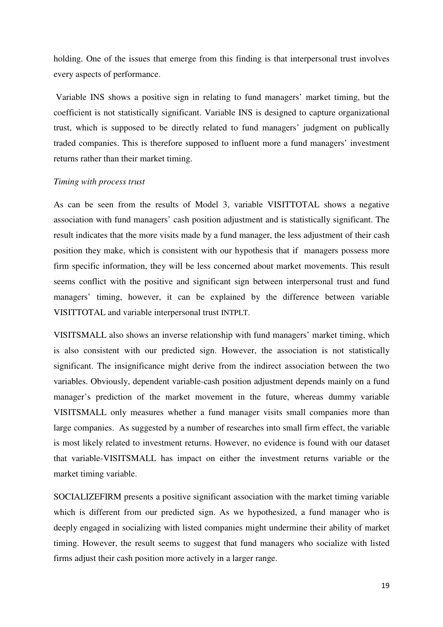holding. One of the issues that emerge from this finding is that interpersonal trust involves every aspects of performance.

 Variable INS shows a positive sign in relating to fund managers' market timing, but the coefficient is not statistically significant. Variable INS is designed to capture organizational trust, which is supposed to be directly related to fund managers' judgment on publically traded companies. This is therefore supposed to influent more a fund managers' investment returns rather than their market timing.

#### *Timing with process trust*

As can be seen from the results of Model 3, variable VISITTOTAL shows a negative association with fund managers' cash position adjustment and is statistically significant. The result indicates that the more visits made by a fund manager, the less adjustment of their cash position they make, which is consistent with our hypothesis that if managers possess more firm specific information, they will be less concerned about market movements. This result seems conflict with the positive and significant sign between interpersonal trust and fund managers' timing, however, it can be explained by the difference between variable VISITTOTAL and variable interpersonal trust INTPLT.

VISITSMALL also shows an inverse relationship with fund managers' market timing, which is also consistent with our predicted sign. However, the association is not statistically significant. The insignificance might derive from the indirect association between the two variables. Obviously, dependent variable-cash position adjustment depends mainly on a fund manager's prediction of the market movement in the future, whereas dummy variable VISITSMALL only measures whether a fund manager visits small companies more than large companies. As suggested by a number of researches into small firm effect, the variable is most likely related to investment returns. However, no evidence is found with our dataset that variable-VISITSMALL has impact on either the investment returns variable or the market timing variable.

SOCIALIZEFIRM presents a positive significant association with the market timing variable which is different from our predicted sign. As we hypothesized, a fund manager who is deeply engaged in socializing with listed companies might undermine their ability of market timing. However, the result seems to suggest that fund managers who socialize with listed firms adjust their cash position more actively in a larger range.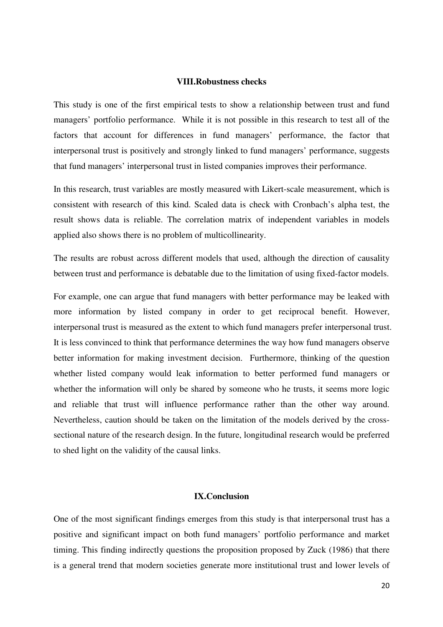#### **VIII.Robustness checks**

This study is one of the first empirical tests to show a relationship between trust and fund managers' portfolio performance. While it is not possible in this research to test all of the factors that account for differences in fund managers' performance, the factor that interpersonal trust is positively and strongly linked to fund managers' performance, suggests that fund managers' interpersonal trust in listed companies improves their performance.

In this research, trust variables are mostly measured with Likert-scale measurement, which is consistent with research of this kind. Scaled data is check with Cronbach's alpha test, the result shows data is reliable. The correlation matrix of independent variables in models applied also shows there is no problem of multicollinearity.

The results are robust across different models that used, although the direction of causality between trust and performance is debatable due to the limitation of using fixed-factor models.

For example, one can argue that fund managers with better performance may be leaked with more information by listed company in order to get reciprocal benefit. However, interpersonal trust is measured as the extent to which fund managers prefer interpersonal trust. It is less convinced to think that performance determines the way how fund managers observe better information for making investment decision. Furthermore, thinking of the question whether listed company would leak information to better performed fund managers or whether the information will only be shared by someone who he trusts, it seems more logic and reliable that trust will influence performance rather than the other way around. Nevertheless, caution should be taken on the limitation of the models derived by the crosssectional nature of the research design. In the future, longitudinal research would be preferred to shed light on the validity of the causal links.

## **IX.Conclusion**

One of the most significant findings emerges from this study is that interpersonal trust has a positive and significant impact on both fund managers' portfolio performance and market timing. This finding indirectly questions the proposition proposed by Zuck (1986) that there is a general trend that modern societies generate more institutional trust and lower levels of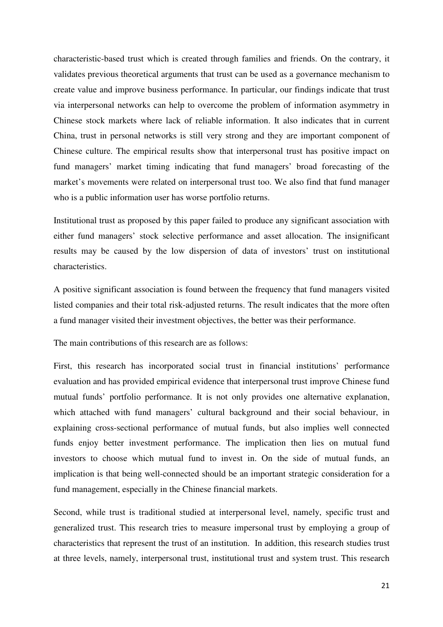characteristic-based trust which is created through families and friends. On the contrary, it validates previous theoretical arguments that trust can be used as a governance mechanism to create value and improve business performance. In particular, our findings indicate that trust via interpersonal networks can help to overcome the problem of information asymmetry in Chinese stock markets where lack of reliable information. It also indicates that in current China, trust in personal networks is still very strong and they are important component of Chinese culture. The empirical results show that interpersonal trust has positive impact on fund managers' market timing indicating that fund managers' broad forecasting of the market's movements were related on interpersonal trust too. We also find that fund manager who is a public information user has worse portfolio returns.

Institutional trust as proposed by this paper failed to produce any significant association with either fund managers' stock selective performance and asset allocation. The insignificant results may be caused by the low dispersion of data of investors' trust on institutional characteristics.

A positive significant association is found between the frequency that fund managers visited listed companies and their total risk-adjusted returns. The result indicates that the more often a fund manager visited their investment objectives, the better was their performance.

The main contributions of this research are as follows:

First, this research has incorporated social trust in financial institutions' performance evaluation and has provided empirical evidence that interpersonal trust improve Chinese fund mutual funds' portfolio performance. It is not only provides one alternative explanation, which attached with fund managers' cultural background and their social behaviour, in explaining cross-sectional performance of mutual funds, but also implies well connected funds enjoy better investment performance. The implication then lies on mutual fund investors to choose which mutual fund to invest in. On the side of mutual funds, an implication is that being well-connected should be an important strategic consideration for a fund management, especially in the Chinese financial markets.

Second, while trust is traditional studied at interpersonal level, namely, specific trust and generalized trust. This research tries to measure impersonal trust by employing a group of characteristics that represent the trust of an institution. In addition, this research studies trust at three levels, namely, interpersonal trust, institutional trust and system trust. This research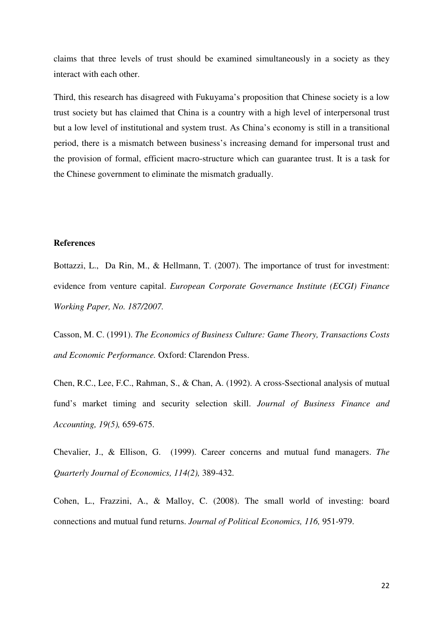claims that three levels of trust should be examined simultaneously in a society as they interact with each other.

Third, this research has disagreed with Fukuyama's proposition that Chinese society is a low trust society but has claimed that China is a country with a high level of interpersonal trust but a low level of institutional and system trust. As China's economy is still in a transitional period, there is a mismatch between business's increasing demand for impersonal trust and the provision of formal, efficient macro-structure which can guarantee trust. It is a task for the Chinese government to eliminate the mismatch gradually.

# **References**

Bottazzi, L., Da Rin, M., & Hellmann, T. (2007). The importance of trust for investment: evidence from venture capital. *European Corporate Governance Institute (ECGI) Finance Working Paper, No. 187/2007.* 

Casson, M. C. (1991). *The Economics of Business Culture: Game Theory, Transactions Costs and Economic Performance.* Oxford: Clarendon Press.

Chen, R.C., Lee, F.C., Rahman, S., & Chan, A. (1992). A cross-Ssectional analysis of mutual fund's market timing and security selection skill. *Journal of Business Finance and Accounting, 19(5),* 659-675.

Chevalier, J., & Ellison, G. (1999). Career concerns and mutual fund managers. *The Quarterly Journal of Economics, 114(2),* 389-432.

Cohen, L., Frazzini, A., & Malloy, C. (2008). The small world of investing: board connections and mutual fund returns. *Journal of Political Economics, 116,* 951-979.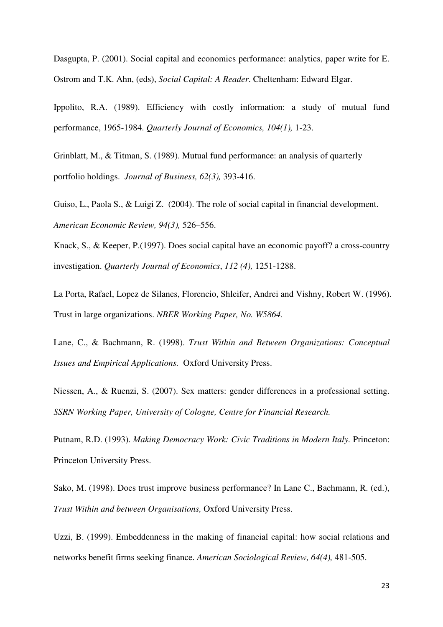Dasgupta, P. (2001). Social capital and economics performance: analytics, paper write for E. Ostrom and T.K. Ahn, (eds), *Social Capital: A Reader*. Cheltenham: Edward Elgar.

Ippolito, R.A. (1989). Efficiency with costly information: a study of mutual fund performance, 1965-1984. *Quarterly Journal of Economics, 104(1),* 1-23.

Grinblatt, M., & Titman, S. (1989). Mutual fund performance: an analysis of quarterly portfolio holdings. *Journal of Business, 62(3),* 393-416.

Guiso, L., Paola S., & Luigi Z. (2004). The role of social capital in financial development. *American Economic Review, 94(3),* 526–556.

Knack, S., & Keeper, P.(1997). Does social capital have an economic payoff? a cross-country investigation. *Quarterly Journal of Economics*, *112 (4),* 1251-1288.

La Porta, Rafael, Lopez de Silanes, Florencio, Shleifer, Andrei and Vishny, Robert W. (1996). Trust in large organizations. *NBER Working Paper, No. W5864.* 

Lane, C., & Bachmann, R. (1998). *Trust Within and Between Organizations: Conceptual Issues and Empirical Applications.* Oxford University Press.

Niessen, A., & Ruenzi, S. (2007). Sex matters: gender differences in a professional setting. *SSRN Working Paper, University of Cologne, Centre for Financial Research.*

Putnam, R.D. (1993). *Making Democracy Work: Civic Traditions in Modern Italy.* Princeton: Princeton University Press.

Sako, M. (1998). Does trust improve business performance? In Lane C., Bachmann, R. (ed.), *Trust Within and between Organisations,* Oxford University Press.

Uzzi, B. (1999). Embeddenness in the making of financial capital: how social relations and networks benefit firms seeking finance. *American Sociological Review, 64(4),* 481-505.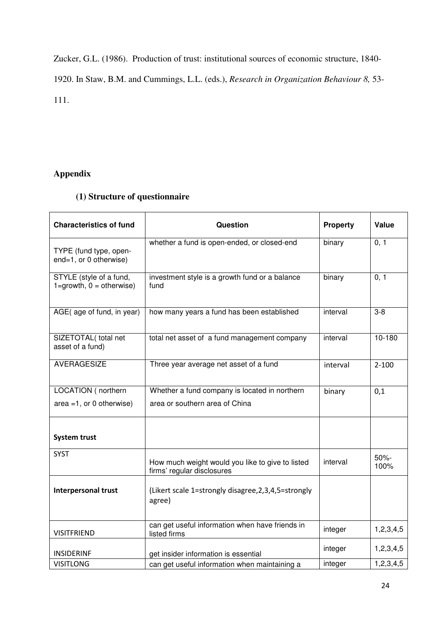Zucker, G.L. (1986). Production of trust: institutional sources of economic structure, 1840-

1920. In Staw, B.M. and Cummings, L.L. (eds.), *Research in Organization Behaviour 8,* 53- 111.

# **Appendix**

# **(1) Structure of questionnaire**

| <b>Characteristics of fund</b>                            | Question                                                                       | <b>Property</b> | Value        |
|-----------------------------------------------------------|--------------------------------------------------------------------------------|-----------------|--------------|
| TYPE (fund type, open-<br>end=1, or 0 otherwise)          | whether a fund is open-ended, or closed-end                                    | binary          | 0, 1         |
| STYLE (style of a fund,<br>$1 =$ growth, $0 =$ otherwise) | investment style is a growth fund or a balance<br>fund                         | binary          | 0, 1         |
| AGE(age of fund, in year)                                 | how many years a fund has been established                                     | interval        | $3 - 8$      |
| SIZETOTAL(total net<br>asset of a fund)                   | total net asset of a fund management company                                   | interval        | 10-180       |
| <b>AVERAGESIZE</b>                                        | Three year average net asset of a fund                                         | interval        | $2 - 100$    |
| LOCATION (northern                                        | Whether a fund company is located in northern                                  | binary          | 0,1          |
| $area = 1$ , or 0 otherwise)                              | area or southern area of China                                                 |                 |              |
| <b>System trust</b>                                       |                                                                                |                 |              |
| <b>SYST</b>                                               | How much weight would you like to give to listed<br>firms' regular disclosures | interval        | 50%-<br>100% |
| <b>Interpersonal trust</b>                                | (Likert scale 1=strongly disagree, 2, 3, 4, 5 = strongly<br>agree)             |                 |              |
| <b>VISITFRIEND</b>                                        | can get useful information when have friends in<br>listed firms                | integer         | 1,2,3,4,5    |
| <b>INSIDERINF</b>                                         | get insider information is essential                                           | integer         | 1,2,3,4,5    |
| <b>VISITLONG</b>                                          | can get useful information when maintaining a                                  | integer         | 1,2,3,4,5    |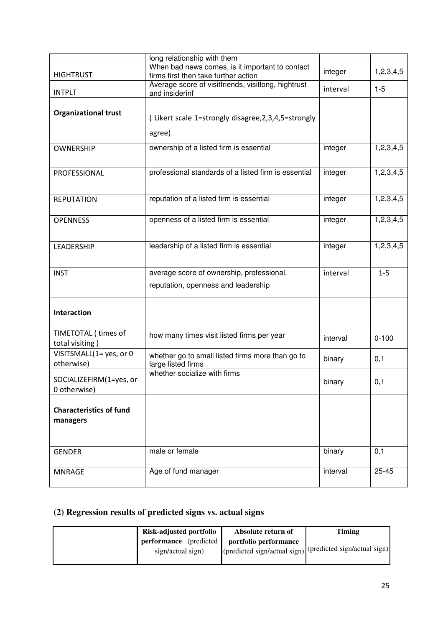|                                         | long relationship with them                                                                 |          |           |
|-----------------------------------------|---------------------------------------------------------------------------------------------|----------|-----------|
|                                         | When bad news comes, is it important to contact                                             | integer  | 1,2,3,4,5 |
| <b>HIGHTRUST</b>                        | firms first then take further action<br>Average score of visitfriends, visitlong, hightrust |          |           |
| <b>INTPLT</b>                           | and insiderinf                                                                              | interval | $1-5$     |
| <b>Organizational trust</b>             |                                                                                             |          |           |
|                                         | (Likert scale 1=strongly disagree, 2, 3, 4, 5 = strongly                                    |          |           |
|                                         | agree)                                                                                      |          |           |
| <b>OWNERSHIP</b>                        | ownership of a listed firm is essential                                                     | integer  | 1,2,3,4,5 |
| PROFESSIONAL                            | professional standards of a listed firm is essential                                        | integer  | 1,2,3,4,5 |
| <b>REPUTATION</b>                       | reputation of a listed firm is essential                                                    | integer  | 1,2,3,4,5 |
| <b>OPENNESS</b>                         | openness of a listed firm is essential                                                      | integer  | 1,2,3,4,5 |
| LEADERSHIP                              | leadership of a listed firm is essential                                                    | integer  | 1,2,3,4,5 |
| <b>INST</b>                             | average score of ownership, professional,                                                   | interval | $1 - 5$   |
|                                         | reputation, openness and leadership                                                         |          |           |
| <b>Interaction</b>                      |                                                                                             |          |           |
| TIMETOTAL (times of<br>total visiting)  | how many times visit listed firms per year                                                  | interval | $0 - 100$ |
| VISITSMALL(1= yes, or 0<br>otherwise)   | whether go to small listed firms more than go to<br>large listed firms                      | binary   | 0,1       |
| SOCIALIZEFIRM(1=yes, or<br>0 otherwise) | whether socialize with firms                                                                | binary   | 0,1       |
| <b>Characteristics of fund</b>          |                                                                                             |          |           |
| managers                                |                                                                                             |          |           |
| <b>GENDER</b>                           | male or female                                                                              | binary   | 0,1       |
| <b>MNRAGE</b>                           | Age of fund manager                                                                         | interval | $25 - 45$ |

# **(2) Regression results of predicted signs vs. actual signs**

| Risk-adjusted portfolio                             | Absolute return of                                                                      | Timing |
|-----------------------------------------------------|-----------------------------------------------------------------------------------------|--------|
| <b>performance</b> (predicted)<br>sign/actual sign) | portfolio performance<br>I(predicted sign/actual sign) $ $ (predicted sign/actual sign) |        |
|                                                     |                                                                                         |        |